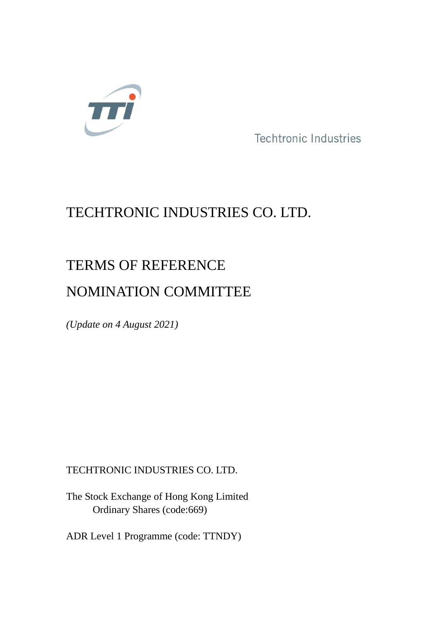

Techtronic Industries

# TECHTRONIC INDUSTRIES CO. LTD.

# TERMS OF REFERENCE

## NOMINATION COMMITTEE

*(Update on 4 August 2021)*

## TECHTRONIC INDUSTRIES CO. LTD.

The Stock Exchange of Hong Kong Limited Ordinary Shares (code:669)

ADR Level 1 Programme (code: TTNDY)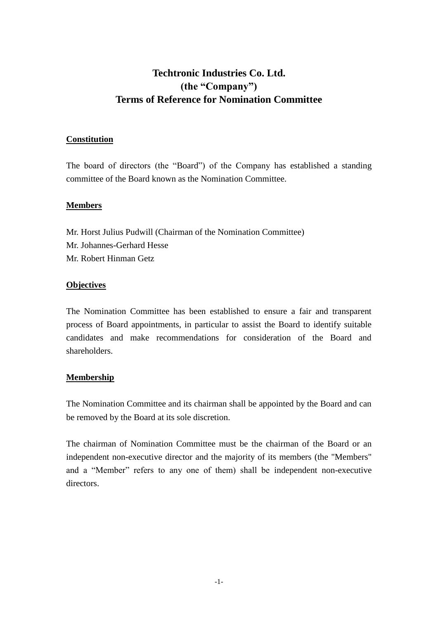### **Techtronic Industries Co. Ltd. (the "Company") Terms of Reference for Nomination Committee**

#### **Constitution**

The board of directors (the "Board") of the Company has established a standing committee of the Board known as the Nomination Committee.

#### **Members**

Mr. Horst Julius Pudwill (Chairman of the Nomination Committee) Mr. Johannes-Gerhard Hesse Mr. Robert Hinman Getz

#### **Objectives**

The Nomination Committee has been established to ensure a fair and transparent process of Board appointments, in particular to assist the Board to identify suitable candidates and make recommendations for consideration of the Board and shareholders.

#### **Membership**

The Nomination Committee and its chairman shall be appointed by the Board and can be removed by the Board at its sole discretion.

The chairman of Nomination Committee must be the chairman of the Board or an independent non-executive director and the majority of its members (the "Members" and a "Member" refers to any one of them) shall be independent non-executive directors.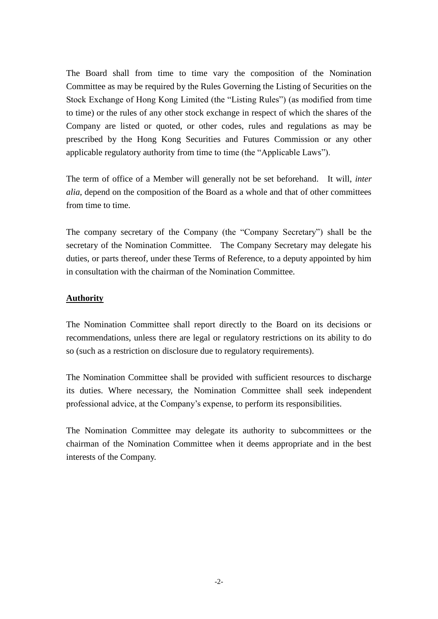The Board shall from time to time vary the composition of the Nomination Committee as may be required by the Rules Governing the Listing of Securities on the Stock Exchange of Hong Kong Limited (the "Listing Rules") (as modified from time to time) or the rules of any other stock exchange in respect of which the shares of the Company are listed or quoted, or other codes, rules and regulations as may be prescribed by the Hong Kong Securities and Futures Commission or any other applicable regulatory authority from time to time (the "Applicable Laws").

The term of office of a Member will generally not be set beforehand. It will, *inter alia*, depend on the composition of the Board as a whole and that of other committees from time to time.

The company secretary of the Company (the "Company Secretary") shall be the secretary of the Nomination Committee. The Company Secretary may delegate his duties, or parts thereof, under these Terms of Reference, to a deputy appointed by him in consultation with the chairman of the Nomination Committee.

#### **Authority**

The Nomination Committee shall report directly to the Board on its decisions or recommendations, unless there are legal or regulatory restrictions on its ability to do so (such as a restriction on disclosure due to regulatory requirements).

The Nomination Committee shall be provided with sufficient resources to discharge its duties. Where necessary, the Nomination Committee shall seek independent professional advice, at the Company's expense, to perform its responsibilities.

The Nomination Committee may delegate its authority to subcommittees or the chairman of the Nomination Committee when it deems appropriate and in the best interests of the Company.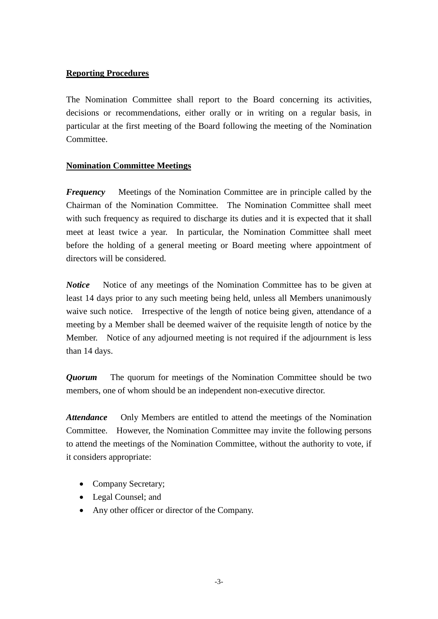#### **Reporting Procedures**

The Nomination Committee shall report to the Board concerning its activities, decisions or recommendations, either orally or in writing on a regular basis, in particular at the first meeting of the Board following the meeting of the Nomination Committee.

#### **Nomination Committee Meetings**

*Frequency* Meetings of the Nomination Committee are in principle called by the Chairman of the Nomination Committee. The Nomination Committee shall meet with such frequency as required to discharge its duties and it is expected that it shall meet at least twice a year. In particular, the Nomination Committee shall meet before the holding of a general meeting or Board meeting where appointment of directors will be considered.

*Notice* Notice of any meetings of the Nomination Committee has to be given at least 14 days prior to any such meeting being held, unless all Members unanimously waive such notice. Irrespective of the length of notice being given, attendance of a meeting by a Member shall be deemed waiver of the requisite length of notice by the Member. Notice of any adjourned meeting is not required if the adjournment is less than 14 days.

*Quorum* The quorum for meetings of the Nomination Committee should be two members, one of whom should be an independent non-executive director.

*Attendance* Only Members are entitled to attend the meetings of the Nomination Committee. However, the Nomination Committee may invite the following persons to attend the meetings of the Nomination Committee, without the authority to vote, if it considers appropriate:

- Company Secretary;
- Legal Counsel; and
- Any other officer or director of the Company.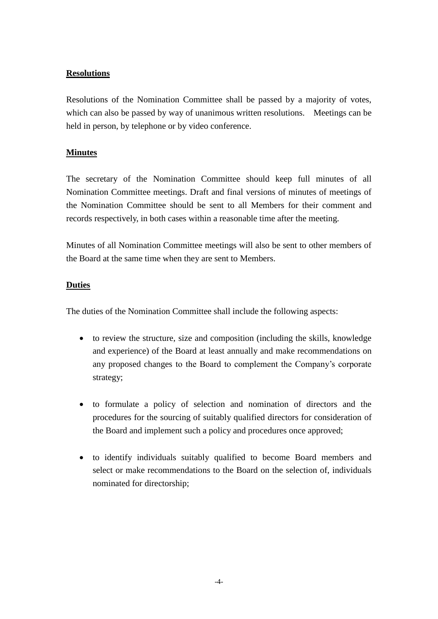#### **Resolutions**

Resolutions of the Nomination Committee shall be passed by a majority of votes, which can also be passed by way of unanimous written resolutions. Meetings can be held in person, by telephone or by video conference.

#### **Minutes**

The secretary of the Nomination Committee should keep full minutes of all Nomination Committee meetings. Draft and final versions of minutes of meetings of the Nomination Committee should be sent to all Members for their comment and records respectively, in both cases within a reasonable time after the meeting.

Minutes of all Nomination Committee meetings will also be sent to other members of the Board at the same time when they are sent to Members.

#### **Duties**

The duties of the Nomination Committee shall include the following aspects:

- to review the structure, size and composition (including the skills, knowledge and experience) of the Board at least annually and make recommendations on any proposed changes to the Board to complement the Company's corporate strategy;
- to formulate a policy of selection and nomination of directors and the procedures for the sourcing of suitably qualified directors for consideration of the Board and implement such a policy and procedures once approved;
- to identify individuals suitably qualified to become Board members and select or make recommendations to the Board on the selection of, individuals nominated for directorship;